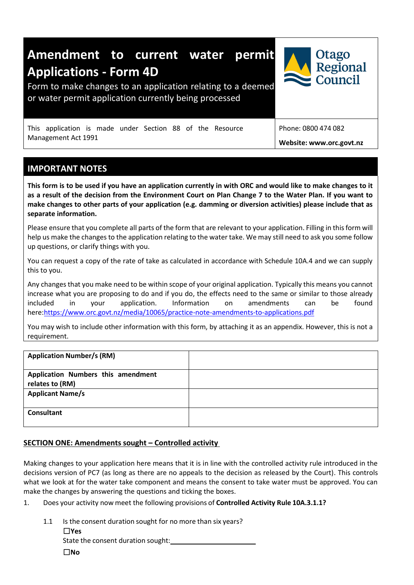

# **IMPORTANT NOTES**

This form is to be used if you have an application currently in with ORC and would like to make changes to it **as a result of the decision from the Environment Court on Plan Change 7 to the Water Plan. If you want to make changes to other parts of your application (e.g. damming or diversion activities) please include that as separate information.** 

Please ensure that you complete all parts of the form that are relevant to your application. Filling in this form will help us make the changes to the application relating to the water take. We may still need to ask you some follow up questions, or clarify things with you.

You can request a copy of the rate of take as calculated in accordance with Schedule 10A.4 and we can supply this to you.

Any changes that you make need to be within scope of your original application. Typically this means you cannot increase what you are proposing to do and if you do, the effects need to the same or similar to those already included in your application. Information on amendments can be found here[:https://www.orc.govt.nz/media/10065/practice-note-amendments-to-applications.pdf](https://www.orc.govt.nz/media/10065/practice-note-amendments-to-applications.pdf)

You may wish to include other information with this form, by attaching it as an appendix. However, this is not a requirement.

| <b>Application Number/s (RM)</b>                      |  |
|-------------------------------------------------------|--|
| Application Numbers this amendment<br>relates to (RM) |  |
| <b>Applicant Name/s</b>                               |  |
| <b>Consultant</b>                                     |  |

### **SECTION ONE: Amendments sought – Controlled activity**

Making changes to your application here means that it is in line with the controlled activity rule introduced in the decisions version of PC7 (as long as there are no appeals to the decision as released by the Court). This controls what we look at for the water take component and means the consent to take water must be approved. You can make the changes by answering the questions and ticking the boxes.

1. Does your activity now meet the following provisions of **Controlled Activity Rule 10A.3.1.1?**

| 1.1 | Is the consent duration sought for no more than six years? |
|-----|------------------------------------------------------------|
|     | $\Box$ Yes                                                 |
|     | State the consent duration sought:                         |
|     | ΠNo                                                        |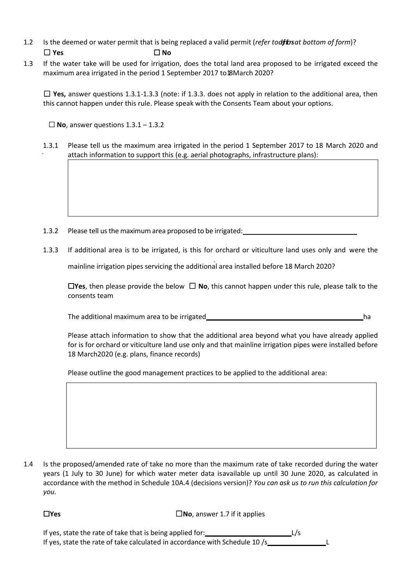- 1.2 Is the deemed or water permit that is being replaced a valid permit (*refer todefright at bottom of form*)? ☐ **Yes** ☐ **No**
- 1.3 If the water take will be used for irrigation, does the total land area proposed to be irrigated exceed the maximum area irrigated in the period 1 September 2017 to 18 March 2020?

☐ **Yes,** answer questions 1.3.1-1.3.3 (note: if 1.3.3. does not apply in relation to the additional area, then this cannot happen under this rule. Please speak with the Consents Team about your options.

☐ **No**, answer questions 1.3.1 – 1.3.2

1.3.1 Please tell us the maximum area irrigated in the period 1 September 2017 to 18 March 2020 and attach information to support this (e.g. aerial photographs, infrastructure plans):

- 1.3.2 Please tell us the maximum area proposed to be irrigated:<br>
- 1.3.3 If additional area is to be irrigated, is this for orchard or viticulture land uses only and were the

mainline irrigation pipes servicing the additional area installed before 18 March 2020?

☐**Yes**, then please provide the below ☐ **No**, this cannot happen under this rule, please talk to the consents team

The additional maximum area to be irrigated ha

Please attach information to show that the additional area beyond what you have already applied for is for orchard or viticulture land use only and that mainline irrigation pipes were installed before 18 March2020 (e.g. plans, finance records)

Please outline the good management practices to be applied to the additional area:

1.4 Is the proposed/amended rate of take no more than the maximum rate of take recorded during the water years (1 July to 30 June) for which water meter data isavailable up until 30 June 2020, as calculated in accordance with the method in Schedule 10A.4 (decisions version)? *You can ask us to run this calculation for you.*

☐**Yes** ☐**No**, answer 1.7 if it applies

If yes, state the rate of take that is being applied for: L/s If yes, state the rate of take calculated in accordance with Schedule 10 /s\_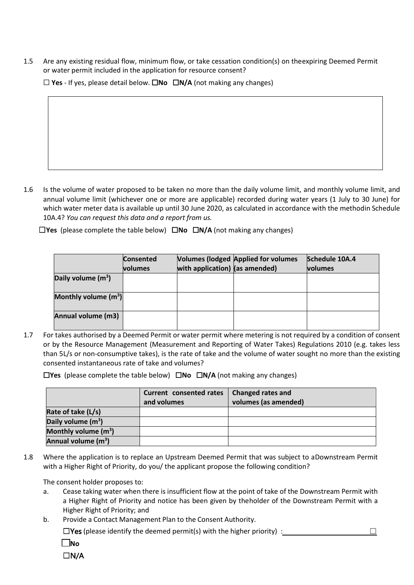1.5 Are any existing residual flow, minimum flow, or take cessation condition(s) on theexpiring Deemed Permit or water permit included in the application for resource consent?

☐ **Yes** - If yes, please detail below. ☐**No** ☐**N/A** (not making any changes)

1.6 Is the volume of water proposed to be taken no more than the daily volume limit, and monthly volume limit, and annual volume limit (whichever one or more are applicable) recorded during water years (1 July to 30 June) for which water meter data is available up until 30 June 2020, as calculated in accordance with the methodin Schedule 10A.4? *You can request this data and a report from us.*

☐**Yes** (please complete the table below)☐**No** ☐**N/A** (not making any changes)

|                        | <b>Consented</b><br>volumes | with application) $ $ (as amended) | <b>Volumes (lodged Applied for volumes</b> | Schedule 10A.4<br><b>volumes</b> |
|------------------------|-----------------------------|------------------------------------|--------------------------------------------|----------------------------------|
| Daily volume $(m^3)$   |                             |                                    |                                            |                                  |
| Monthly volume $(m^3)$ |                             |                                    |                                            |                                  |
| Annual volume (m3)     |                             |                                    |                                            |                                  |

1.7 For takes authorised by a Deemed Permit or water permit where metering is not required by a condition of consent or by the Resource Management (Measurement and Reporting of Water Takes) Regulations 2010 (e.g. takes less than 5L/s or non-consumptive takes), is the rate of take and the volume of water sought no more than the existing consented instantaneous rate of take and volumes?

☐**Yes** (please complete the table below)☐**No** ☐**N/A** (not making any changes)

|                                 | Current consented rates<br>and volumes | <b>Changed rates and</b><br>volumes (as amended) |
|---------------------------------|----------------------------------------|--------------------------------------------------|
| Rate of take (L/s)              |                                        |                                                  |
| Daily volume $(m^3)$            |                                        |                                                  |
| Monthly volume $(m^3)$          |                                        |                                                  |
| Annual volume (m <sup>3</sup> ) |                                        |                                                  |

1.8 Where the application is to replace an Upstream Deemed Permit that was subject to aDownstream Permit with a Higher Right of Priority, do you/ the applicant propose the following condition?

The consent holder proposes to:

- a. Cease taking water when there is insufficient flow at the point of take of the Downstream Permit with a Higher Right of Priority and notice has been given by theholder of the Downstream Permit with a Higher Right of Priority; and
- b. Provide a Contact Management Plan to the Consent Authority.

 $\square$  Yes (please identify the deemed permit(s) with the higher priority) :  $\square$ 

☐**No**

☐N/A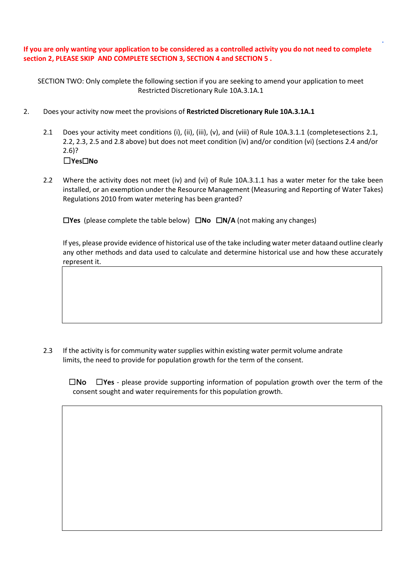**If you are only wanting your application to be considered as a controlled activity you do not need to complete section 2, PLEASE SKIP AND COMPLETE SECTION 3, SECTION 4 and SECTION 5 .** 

SECTION TWO: Only complete the following section if you are seeking to amend your application to meet Restricted Discretionary Rule 10A.3.1A.1

- 2. Does your activity now meet the provisions of **Restricted Discretionary Rule 10A.3.1A.1**
	- 2.1 Does your activity meet conditions (i), (ii), (iii), (v), and (viii) of Rule 10A.3.1.1 (completesections 2.1, 2.2, 2.3, 2.5 and 2.8 above) but does not meet condition (iv) and/or condition (vi) (sections 2.4 and/or 2.6)? ☐**Yes**☐**No**
	- 2.2 Where the activity does not meet (iv) and (vi) of Rule 10A.3.1.1 has a water meter for the take been installed, or an exemption under the Resource Management (Measuring and Reporting of Water Takes) Regulations 2010 from water metering has been granted?

☐**Yes** (please complete the table below)☐**No** ☐**N/A** (not making any changes)

If yes, please provide evidence of historical use of the take including water meter dataand outline clearly any other methods and data used to calculate and determine historical use and how these accurately represent it.

2.3 If the activity is for community water supplies within existing water permit volume andrate limits, the need to provide for population growth for the term of the consent.

 ☐No ☐**Yes** - please provide supporting information of population growth over the term of the consent sought and water requirements for this population growth.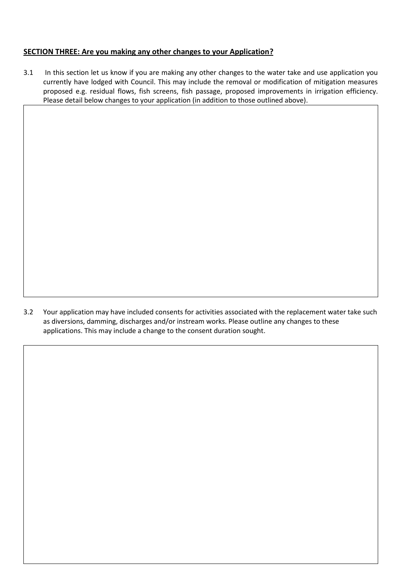# **SECTION THREE: Are you making any other changes to your Application?**

3.1 In this section let us know if you are making any other changes to the water take and use application you currently have lodged with Council. This may include the removal or modification of mitigation measures proposed e.g. residual flows, fish screens, fish passage, proposed improvements in irrigation efficiency. Please detail below changes to your application (in addition to those outlined above).

3.2 Your application may have included consents for activities associated with the replacement water take such as diversions, damming, discharges and/or instream works. Please outline any changes to these applications. This may include a change to the consent duration sought.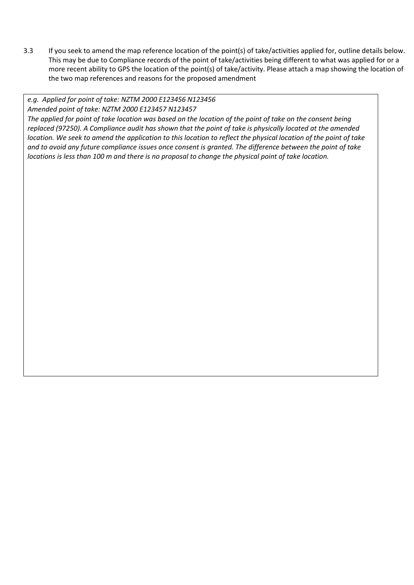3.3 If you seek to amend the map reference location of the point(s) of take/activities applied for, outline details below. This may be due to Compliance records of the point of take/activities being different to what was applied for or a more recent ability to GPS the location of the point(s) of take/activity. Please attach a map showing the location of the two map references and reasons for the proposed amendment

### *e.g. Applied for point of take: NZTM 2000 E123456 N123456*

*Amended point of take: NZTM 2000 E123457 N123457*

*The applied for point of take location was based on the location of the point of take on the consent being replaced (97250). A Compliance audit has shown that the point of take is physically located at the amended location. We seek to amend the application to this location to reflect the physical location of the point of take and to avoid any future compliance issues once consent is granted. The difference between the point of take locations is less than 100 m and there is no proposal to change the physical point of take location.*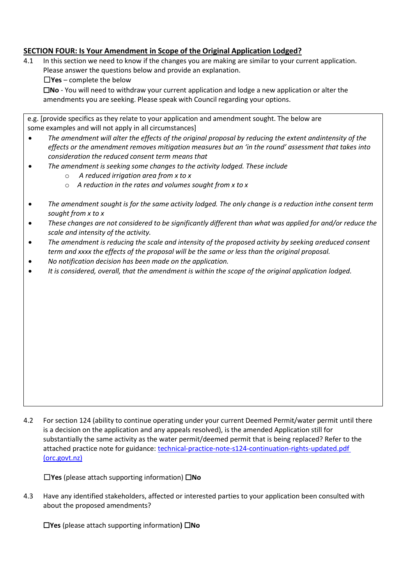# **SECTION FOUR: Is Your Amendment in Scope of the Original Application Lodged?**

- 4.1 In this section we need to know if the changes you are making are similar to your current application. Please answer the questions below and provide an explanation.
	- ☐**Yes** complete the below

☐**No** - You will need to withdraw your current application and lodge a new application or alter the amendments you are seeking. Please speak with Council regarding your options.

| e.g. [provide specifics as they relate to your application and amendment sought. The below are |  |
|------------------------------------------------------------------------------------------------|--|
| some examples and will not apply in all circumstances]                                         |  |

- *The amendment will alter the effects of the original proposal by reducing the extent andintensity of the effects or the amendment removes mitigation measures but an 'in the round' assessment that takes into consideration the reduced consent term means that*
- *The amendment is seeking some changes to the activity lodged. These include*
	- o *A reduced irrigation area from x to x*
	- o *A reduction in the rates and volumes sought from x to x*
- *The amendment sought is for the same activity lodged. The only change is a reduction inthe consent term sought from x to x*
- *These changes are not considered to be significantly different than what was applied for and/or reduce the scale and intensity of the activity.*
- *The amendment is reducing the scale and intensity of the proposed activity by seeking areduced consent term and xxxx the effects of the proposal will be the same or less than the original proposal.*
- *No notification decision has been made on the application.*
- *It is considered, overall, that the amendment is within the scope of the original application lodged.*

4.2 For section 124 (ability to continue operating under your current Deemed Permit/water permit until there is a decision on the application and any appeals resolved), is the amended Application still for substantially the same activity as the water permit/deemed permit that is being replaced? Refer to the attached practice note for guidance: technical-practice-note-s124-continuation-rights-updated.pdf [\(orc.govt.nz\)](https://www.orc.govt.nz/media/10064/technical-practice-note-s124-continuation-rights-updated.pdf)

☐**Yes** (please attach supporting information) ☐**No** 

4.3 Have any identified stakeholders, affected or interested parties to your application been consulted with about the proposed amendments?

☐**Yes** (please attach supporting information**)** ☐**No**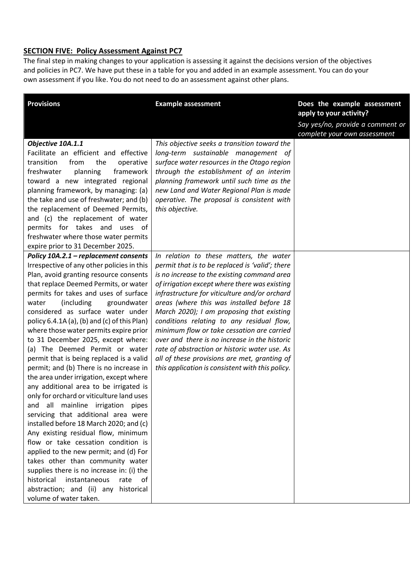# **SECTION FIVE: Policy Assessment Against PC7**

The final step in making changes to your application is assessing it against the decisions version of the objectives and policies in PC7. We have put these in a table for you and added in an example assessment. You can do your own assessment if you like. You do not need to do an assessment against other plans.

| <b>Provisions</b>                                                    | <b>Example assessment</b>                                                                   | Does the example assessment<br>apply to your activity?           |
|----------------------------------------------------------------------|---------------------------------------------------------------------------------------------|------------------------------------------------------------------|
|                                                                      |                                                                                             | Say yes/no, provide a comment or<br>complete your own assessment |
| Objective 10A.1.1                                                    | This objective seeks a transition toward the                                                |                                                                  |
| Facilitate an efficient and effective                                | long-term sustainable management of                                                         |                                                                  |
| transition<br>from<br>the<br>operative                               | surface water resources in the Otago region                                                 |                                                                  |
| freshwater<br>planning<br>framework                                  | through the establishment of an interim                                                     |                                                                  |
| toward a new integrated regional                                     | planning framework until such time as the                                                   |                                                                  |
| planning framework, by managing: (a)                                 | new Land and Water Regional Plan is made                                                    |                                                                  |
| the take and use of freshwater; and (b)                              | operative. The proposal is consistent with                                                  |                                                                  |
| the replacement of Deemed Permits,                                   | this objective.                                                                             |                                                                  |
| and (c) the replacement of water                                     |                                                                                             |                                                                  |
| permits for takes and uses of                                        |                                                                                             |                                                                  |
| freshwater where those water permits                                 |                                                                                             |                                                                  |
| expire prior to 31 December 2025.                                    |                                                                                             |                                                                  |
| Policy 10A.2.1 - replacement consents                                | In relation to these matters, the water                                                     |                                                                  |
| Irrespective of any other policies in this                           | permit that is to be replaced is 'valid'; there                                             |                                                                  |
| Plan, avoid granting resource consents                               | is no increase to the existing command area                                                 |                                                                  |
| that replace Deemed Permits, or water                                | of irrigation except where there was existing                                               |                                                                  |
| permits for takes and uses of surface                                | infrastructure for viticulture and/or orchard                                               |                                                                  |
| (including<br>groundwater<br>water                                   | areas (where this was installed before 18                                                   |                                                                  |
| considered as surface water under                                    | March 2020); I am proposing that existing                                                   |                                                                  |
| policy 6.4.1A (a), (b) and (c) of this Plan)                         | conditions relating to any residual flow,                                                   |                                                                  |
| where those water permits expire prior                               | minimum flow or take cessation are carried<br>over and there is no increase in the historic |                                                                  |
| to 31 December 2025, except where:<br>(a) The Deemed Permit or water | rate of abstraction or historic water use. As                                               |                                                                  |
| permit that is being replaced is a valid                             | all of these provisions are met, granting of                                                |                                                                  |
| permit; and (b) There is no increase in                              | this application is consistent with this policy.                                            |                                                                  |
| the area under irrigation, except where                              |                                                                                             |                                                                  |
| any additional area to be irrigated is                               |                                                                                             |                                                                  |
| only for orchard or viticulture land uses                            |                                                                                             |                                                                  |
| and all mainline irrigation pipes                                    |                                                                                             |                                                                  |
| servicing that additional area were                                  |                                                                                             |                                                                  |
| installed before 18 March 2020; and (c)                              |                                                                                             |                                                                  |
| Any existing residual flow, minimum                                  |                                                                                             |                                                                  |
| flow or take cessation condition is                                  |                                                                                             |                                                                  |
| applied to the new permit; and (d) For                               |                                                                                             |                                                                  |
| takes other than community water                                     |                                                                                             |                                                                  |
| supplies there is no increase in: (i) the                            |                                                                                             |                                                                  |
| historical<br>instantaneous<br>rate<br>of                            |                                                                                             |                                                                  |
| abstraction; and (ii) any<br>historical                              |                                                                                             |                                                                  |
| volume of water taken.                                               |                                                                                             |                                                                  |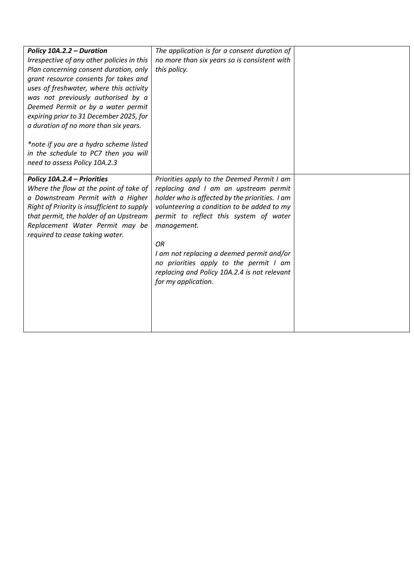| Policy 10A.2.2 - Duration<br>Irrespective of any other policies in this<br>Plan concerning consent duration, only<br>grant resource consents for takes and<br>uses of freshwater, where this activity<br>was not previously authorised by a<br>Deemed Permit or by a water permit<br>expiring prior to 31 December 2025, for<br>a duration of no more than six years. | The application is for a consent duration of<br>no more than six years so is consistent with<br>this policy.                                                                                                                                                                                                                                                                                                     |  |
|-----------------------------------------------------------------------------------------------------------------------------------------------------------------------------------------------------------------------------------------------------------------------------------------------------------------------------------------------------------------------|------------------------------------------------------------------------------------------------------------------------------------------------------------------------------------------------------------------------------------------------------------------------------------------------------------------------------------------------------------------------------------------------------------------|--|
| *note if you are a hydro scheme listed<br>in the schedule to PC7 then you will<br>need to assess Policy 10A.2.3                                                                                                                                                                                                                                                       |                                                                                                                                                                                                                                                                                                                                                                                                                  |  |
| Policy 10A.2.4 - Priorities<br>Where the flow at the point of take of<br>a Downstream Permit with a Higher<br>Right of Priority is insufficient to supply<br>that permit, the holder of an Upstream<br>Replacement Water Permit may be<br>required to cease taking water.                                                                                             | Priorities apply to the Deemed Permit I am<br>replacing and I am an upstream permit<br>holder who is affected by the priorities. I am<br>volunteering a condition to be added to my<br>permit to reflect this system of water<br>management.<br>OR<br>I am not replacing a deemed permit and/or<br>no priorities apply to the permit I am<br>replacing and Policy 10A.2.4 is not relevant<br>for my application. |  |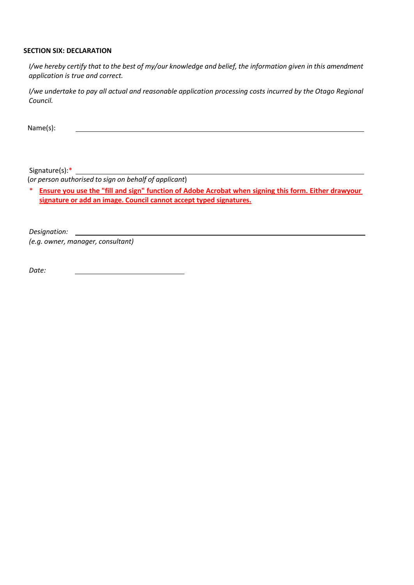### **SECTION SIX: DECLARATION**

I/we hereby certify that to the best of my/our knowledge and belief, the information given in this amendment *application is true and correct.*

*I/we undertake to pay all actual and reasonable application processing costs incurred by the Otago Regional Council.*

Name(s):

Signature(s):\* \_

(*or person authorised to sign on behalf of applicant*)

\* **Ensure you use the "fill and sign" function of Adobe Acrobat when signing this form. Either drawyour signature or add an image. Council cannot accept typed signatures.**

*Designation: (e.g. owner, manager, consultant)*

*Date:*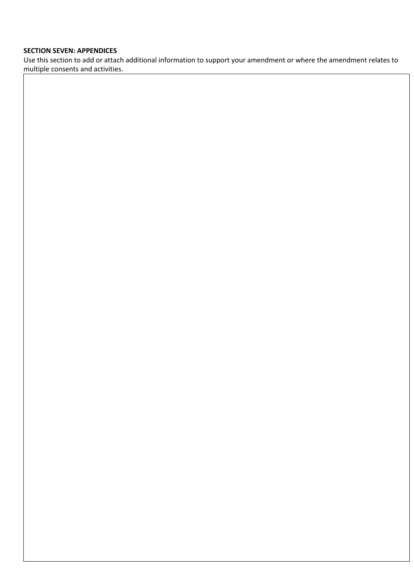### **SECTION SEVEN: APPENDICES**

Use this section to add or attach additional information to support your amendment or where the amendment relates to multiple consents and activities.